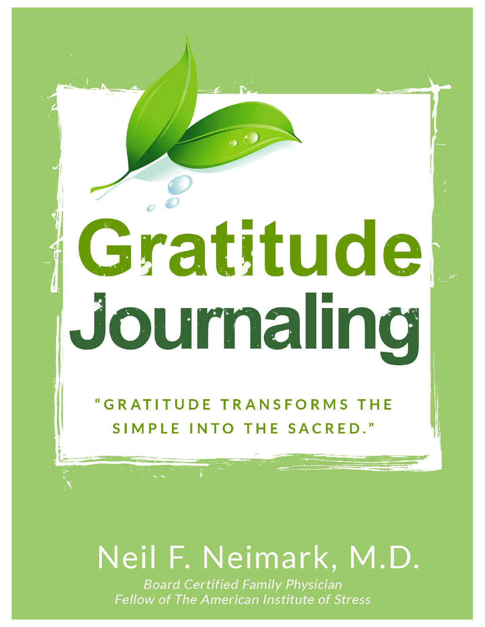# Gratitude Journaling

"GRATITUDE TRANSFORMS THE SIMPLE INTO THE SACRED."

# Neil F. Neimark, M.D.

**Board Certified Family Physician Fellow of The American Institute of Stress**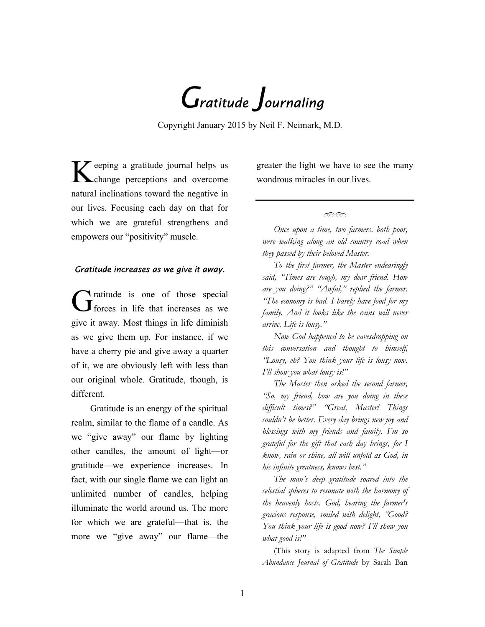*Gratitude Journaling*

Copyright January 2015 by Neil F. Neimark, M.D*.* 

 $\mathcal Y$  eeping a gratitude journal helps us change perceptions and overcome natural inclinations toward the negative in our lives. Focusing each day on that for which we are grateful strengthens and empowers our "positivity" muscle.

### *Gratitude increases as we give it away.*

Gratitude is one of those special<br>
of forces in life that increases as we give it away. Most things in life diminish as we give them up. For instance, if we have a cherry pie and give away a quarter of it, we are obviously left with less than our original whole. Gratitude, though, is different.

Gratitude is an energy of the spiritual realm, similar to the flame of a candle. As we "give away" our flame by lighting other candles, the amount of light—or gratitude—we experience increases. In fact, with our single flame we can light an unlimited number of candles, helping illuminate the world around us. The more for which we are grateful—that is, the more we "give away" our flame—the

greater the light we have to see the many wondrous miracles in our lives.

 $\curvearrowright$ 

*Once upon a time, two farmers, both poor, were walking along an old country road when they passed by their beloved Master.* 

*To the first farmer, the Master endearingly said, "Times are tough, my dear friend. How are you doing?" "Awful," replied the farmer. "The economy is bad. I barely have food for my family. And it looks like the rains will never arrive. Life is lousy."* 

*Now God happened to be eavesdropping on this conversation and thought to himself, "Lousy, eh? You think your life is lousy now. I'll show you what lousy is!"* 

*The Master then asked the second farmer, "So, my friend, how are you doing in these difficult times?" "Great, Master! Things couldn't be better. Every day brings new joy and blessings with my friends and family. I'm so grateful for the gift that each day brings, for I know, rain or shine, all will unfold as God, in his infinite greatness, knows best."* 

*The man's deep gratitude soared into the celestial spheres to resonate with the harmony of the heavenly hosts. God, hearing the farmer's gracious response, smiled with delight, "Good? You think your life is good now? I'll show you what good is!"*

(This story is adapted from *The Simple Abundance Journal of Gratitude* by Sarah Ban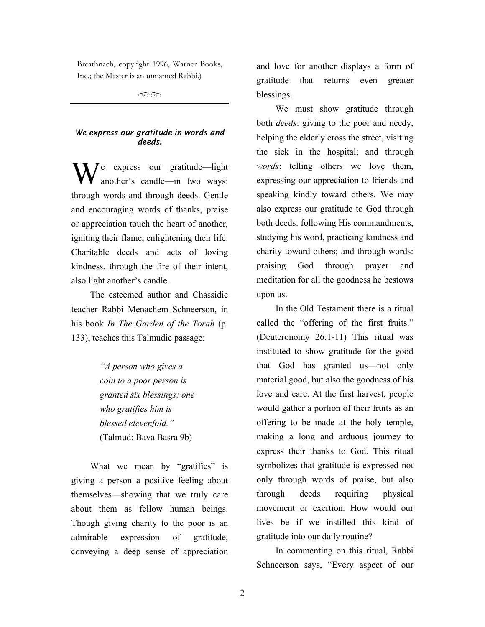Breathnach, copyright 1996, Warner Books, Inc.; the Master is an unnamed Rabbi.)

 $\widehat{\phantom{a}}$ 

## *We express our gratitude in words and deeds.*

 $\int e$  express our gratitude—light another's candle—in two ways: through words and through deeds. Gentle and encouraging words of thanks, praise or appreciation touch the heart of another, igniting their flame, enlightening their life. Charitable deeds and acts of loving kindness, through the fire of their intent, also light another's candle.

The esteemed author and Chassidic teacher Rabbi Menachem Schneerson, in his book *In The Garden of the Torah* (p. 133), teaches this Talmudic passage:

> *"A person who gives a coin to a poor person is granted six blessings; one who gratifies him is blessed elevenfold."* (Talmud: Bava Basra 9b)

What we mean by "gratifies" is giving a person a positive feeling about themselves—showing that we truly care about them as fellow human beings. Though giving charity to the poor is an admirable expression of gratitude, conveying a deep sense of appreciation and love for another displays a form of gratitude that returns even greater blessings.

We must show gratitude through both *deeds*: giving to the poor and needy, helping the elderly cross the street, visiting the sick in the hospital; and through *words*: telling others we love them, expressing our appreciation to friends and speaking kindly toward others. We may also express our gratitude to God through both deeds: following His commandments, studying his word, practicing kindness and charity toward others; and through words: praising God through prayer and meditation for all the goodness he bestows upon us.

In the Old Testament there is a ritual called the "offering of the first fruits." (Deuteronomy 26:1-11) This ritual was instituted to show gratitude for the good that God has granted us—not only material good, but also the goodness of his love and care. At the first harvest, people would gather a portion of their fruits as an offering to be made at the holy temple, making a long and arduous journey to express their thanks to God. This ritual symbolizes that gratitude is expressed not only through words of praise, but also through deeds requiring physical movement or exertion. How would our lives be if we instilled this kind of gratitude into our daily routine?

In commenting on this ritual, Rabbi Schneerson says, "Every aspect of our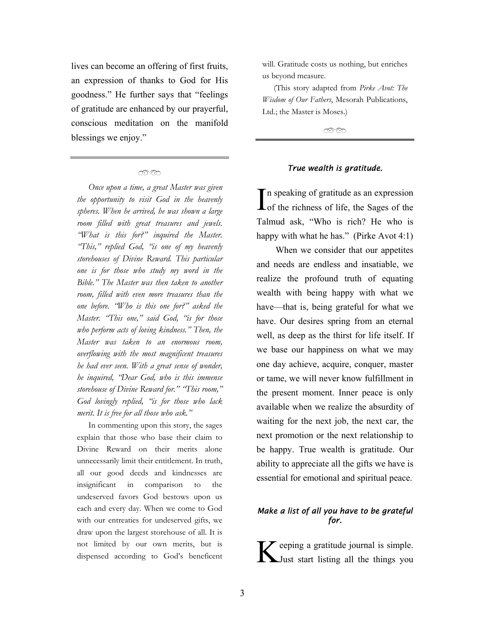lives can become an offering of first fruits, an expression of thanks to God for His goodness." He further says that "feelings of gratitude are enhanced by our prayerful, conscious meditation on the manifold blessings we enjoy."

# $\infty$

*Once upon a time, a great Master was given the opportunity to visit God in the heavenly spheres. When he arrived, he was shown a large room filled with great treasures and jewels. "What is this for?" inquired the Master. "This," replied God, "is one of my heavenly storehouses of Divine Reward. This particular one is for those who study my word in the Bible." The Master was then taken to another room, filled with even more treasures than the one before. "Who is this one for?" asked the Master. "This one," said God, "is for those who perform acts of loving kindness." Then, the Master was taken to an enormous room, overflowing with the most magnificent treasures he had ever seen. With a great sense of wonder, he inquired, "Dear God, who is this immense storehouse of Divine Reward for." "This room," God lovingly replied, "is for those who lack merit. It is free for all those who ask."* 

In commenting upon this story, the sages explain that those who base their claim to Divine Reward on their merits alone unnecessarily limit their entitlement. In truth, all our good deeds and kindnesses are insignificant in comparison to the undeserved favors God bestows upon us each and every day. When we come to God with our entreaties for undeserved gifts, we draw upon the largest storehouse of all. It is not limited by our own merits, but is dispensed according to God's beneficent will. Gratitude costs us nothing, but enriches us beyond measure.

(This story adapted from *Pirke Avot: The Wisdom of Our Fathers*, Mesorah Publications, Ltd.; the Master is Moses.)

೧೧೧೧

#### *True wealth is gratitude.*

In speaking of gratitude as an expression<br>
of the richness of life, the Sages of the Talmud ask, "Who is rich? He who is happy with what he has." (Pirke Avot 4:1)

When we consider that our appetites and needs are endless and insatiable, we realize the profound truth of equating wealth with being happy with what we have—that is, being grateful for what we have. Our desires spring from an eternal well, as deep as the thirst for life itself. If we base our happiness on what we may one day achieve, acquire, conquer, master or tame, we will never know fulfillment in the present moment. Inner peace is only available when we realize the absurdity of waiting for the next job, the next car, the next promotion or the next relationship to be happy. True wealth is gratitude. Our ability to appreciate all the gifts we have is essential for emotional and spiritual peace.

### *Make a list of all you have to be grateful for.*

 $\sum$  eeping a gratitude journal is simple. Just start listing all the things you